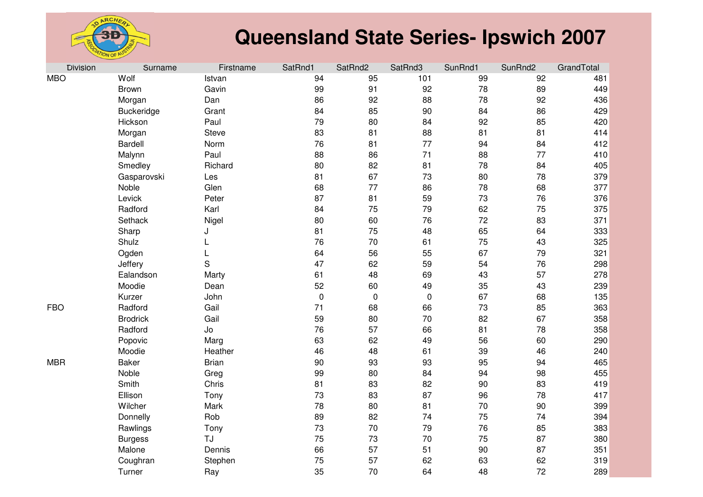

| <b>Division</b> | Surname         | Firstname    | SatRnd1          | SatRnd2   | SatRnd3   | SunRnd1 | SunRnd2 | GrandTotal |
|-----------------|-----------------|--------------|------------------|-----------|-----------|---------|---------|------------|
| <b>MBO</b>      | Wolf            | Istvan       | 94               | 95        | 101       | 99      | 92      | 481        |
|                 | Brown           | Gavin        | 99               | 91        | 92        | 78      | 89      | 449        |
|                 | Morgan          | Dan          | 86               | 92        | 88        | 78      | 92      | 436        |
|                 | Buckeridge      | Grant        | 84               | 85        | 90        | 84      | 86      | 429        |
|                 | Hickson         | Paul         | 79               | 80        | 84        | 92      | 85      | 420        |
|                 | Morgan          | <b>Steve</b> | 83               | 81        | 88        | 81      | 81      | 414        |
|                 | Bardell         | Norm         | 76               | 81        | 77        | 94      | 84      | 412        |
|                 | Malynn          | Paul         | 88               | 86        | 71        | 88      | 77      | 410        |
|                 | Smedley         | Richard      | 80               | 82        | 81        | 78      | 84      | 405        |
|                 | Gasparovski     | Les          | 81               | 67        | 73        | 80      | 78      | 379        |
|                 | Noble           | Glen         | 68               | 77        | 86        | 78      | 68      | 377        |
|                 | Levick          | Peter        | 87               | 81        | 59        | 73      | 76      | 376        |
|                 | Radford         | Karl         | 84               | 75        | 79        | 62      | 75      | 375        |
|                 | Sethack         | Nigel        | 80               | 60        | 76        | 72      | 83      | 371        |
|                 | Sharp           | J            | 81               | 75        | 48        | 65      | 64      | 333        |
|                 | Shulz           | L            | 76               | 70        | 61        | 75      | 43      | 325        |
|                 | Ogden           | L            | 64               | 56        | 55        | 67      | 79      | 321        |
|                 | Jeffery         | S            | 47               | 62        | 59        | 54      | 76      | 298        |
|                 | Ealandson       | Marty        | 61               | 48        | 69        | 43      | 57      | 278        |
|                 | Moodie          | Dean         | 52               | 60        | 49        | 35      | 43      | 239        |
|                 | Kurzer          | John         | $\boldsymbol{0}$ | $\pmb{0}$ | $\pmb{0}$ | 67      | 68      | 135        |
| <b>FBO</b>      | Radford         | Gail         | 71               | 68        | 66        | 73      | 85      | 363        |
|                 | <b>Brodrick</b> | Gail         | 59               | 80        | 70        | 82      | 67      | 358        |
|                 | Radford         | Jo           | 76               | 57        | 66        | 81      | 78      | 358        |
|                 | Popovic         | Marg         | 63               | 62        | 49        | 56      | 60      | 290        |
|                 | Moodie          | Heather      | 46               | 48        | 61        | 39      | 46      | 240        |
| <b>MBR</b>      | <b>Baker</b>    | <b>Brian</b> | 90               | 93        | 93        | 95      | 94      | 465        |
|                 | Noble           | Greg         | 99               | 80        | 84        | 94      | 98      | 455        |
|                 | Smith           | Chris        | 81               | 83        | 82        | 90      | 83      | 419        |
|                 | Ellison         | Tony         | 73               | 83        | 87        | 96      | 78      | 417        |
|                 | Wilcher         | Mark         | 78               | 80        | 81        | 70      | 90      | 399        |
|                 | Donnelly        | Rob          | 89               | 82        | 74        | 75      | 74      | 394        |
|                 | Rawlings        | Tony         | 73               | 70        | 79        | 76      | 85      | 383        |
|                 | <b>Burgess</b>  | TJ           | 75               | 73        | 70        | 75      | 87      | 380        |
|                 | Malone          | Dennis       | 66               | 57        | 51        | 90      | 87      | 351        |
|                 | Coughran        | Stephen      | 75               | 57        | 62        | 63      | 62      | 319        |
|                 | Turner          | Ray          | 35               | 70        | 64        | 48      | 72      | 289        |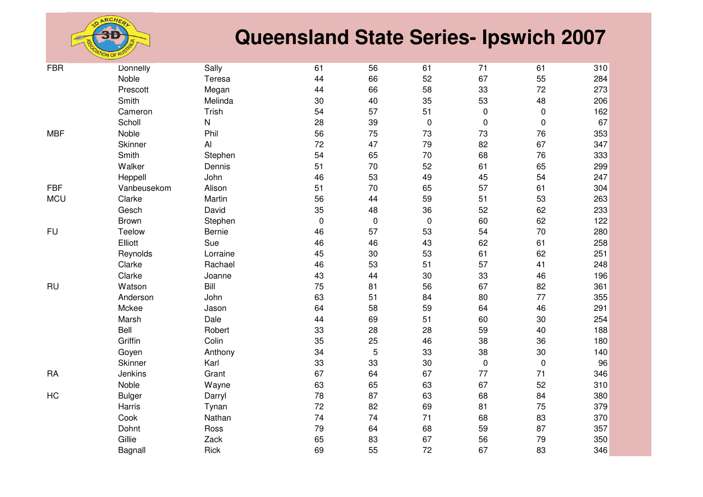

| <b>FBR</b> | Donnelly      | Sally        | 61          | 56         | 61               | 71        | 61        | 310 |
|------------|---------------|--------------|-------------|------------|------------------|-----------|-----------|-----|
|            | Noble         | Teresa       | 44          | 66         | 52               | 67        | 55        | 284 |
|            | Prescott      | Megan        | 44          | 66         | 58               | 33        | 72        | 273 |
|            | Smith         | Melinda      | 30          | 40         | 35               | 53        | 48        | 206 |
|            | Cameron       | Trish        | 54          | 57         | 51               | $\pmb{0}$ | $\pmb{0}$ | 162 |
|            | Scholl        | $\mathsf{N}$ | 28          | 39         | $\pmb{0}$        | $\pmb{0}$ | $\pmb{0}$ | 67  |
| <b>MBF</b> | Noble         | Phil         | 56          | 75         | 73               | 73        | 76        | 353 |
|            | Skinner       | AI           | 72          | 47         | 79               | 82        | 67        | 347 |
|            | Smith         | Stephen      | 54          | 65         | 70               | 68        | 76        | 333 |
|            | Walker        | Dennis       | 51          | 70         | 52               | 61        | 65        | 299 |
|            | Heppell       | John         | 46          | 53         | 49               | 45        | 54        | 247 |
| <b>FBF</b> | Vanbeusekom   | Alison       | 51          | 70         | 65               | 57        | 61        | 304 |
| <b>MCU</b> | Clarke        | Martin       | 56          | 44         | 59               | 51        | 53        | 263 |
|            | Gesch         | David        | 35          | 48         | 36               | 52        | 62        | 233 |
|            | Brown         | Stephen      | $\mathbf 0$ | $\pmb{0}$  | $\boldsymbol{0}$ | 60        | 62        | 122 |
| <b>FU</b>  | Teelow        | Bernie       | 46          | 57         | 53               | 54        | 70        | 280 |
|            | Elliott       | Sue          | 46          | 46         | 43               | 62        | 61        | 258 |
|            | Reynolds      | Lorraine     | 45          | 30         | 53               | 61        | 62        | 251 |
|            | Clarke        | Rachael      | 46          | 53         | 51               | 57        | 41        | 248 |
|            | Clarke        | Joanne       | 43          | 44         | 30               | 33        | 46        | 196 |
| <b>RU</b>  | Watson        | Bill         | 75          | 81         | 56               | 67        | 82        | 361 |
|            | Anderson      | John         | 63          | 51         | 84               | 80        | 77        | 355 |
|            | Mckee         | Jason        | 64          | 58         | 59               | 64        | 46        | 291 |
|            | Marsh         | Dale         | 44          | 69         | 51               | 60        | 30        | 254 |
|            | Bell          | Robert       | 33          | 28         | 28               | 59        | 40        | 188 |
|            | Griffin       | Colin        | 35          | 25         | 46               | 38        | 36        | 180 |
|            | Goyen         | Anthony      | 34          | $\sqrt{5}$ | 33               | 38        | 30        | 140 |
|            | Skinner       | Karl         | 33          | 33         | 30               | $\pmb{0}$ | $\pmb{0}$ | 96  |
| <b>RA</b>  | Jenkins       | Grant        | 67          | 64         | 67               | 77        | 71        | 346 |
|            | Noble         | Wayne        | 63          | 65         | 63               | 67        | 52        | 310 |
| HC         | <b>Bulger</b> | Darryl       | 78          | 87         | 63               | 68        | 84        | 380 |
|            | Harris        | Tynan        | 72          | 82         | 69               | 81        | 75        | 379 |
|            | Cook          | Nathan       | 74          | 74         | 71               | 68        | 83        | 370 |
|            | Dohnt         | Ross         | 79          | 64         | 68               | 59        | 87        | 357 |
|            | Gillie        | Zack         | 65          | 83         | 67               | 56        | 79        | 350 |
|            | Bagnall       | Rick         | 69          | 55         | 72               | 67        | 83        | 346 |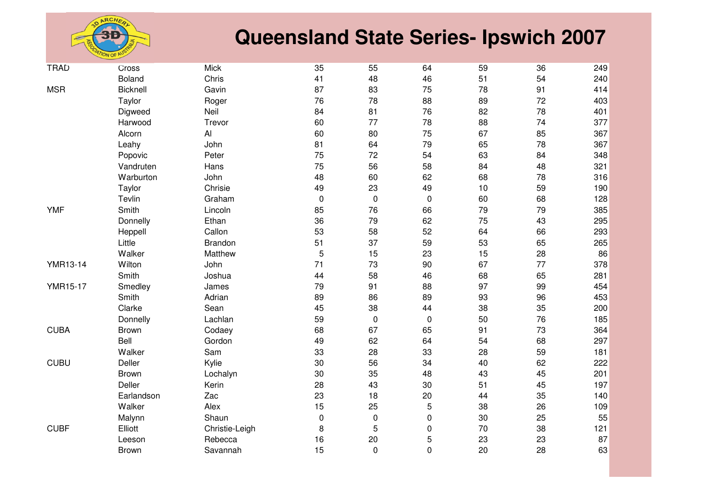

| <b>TRAD</b>     | Cross         | Mick           | 35        | 55          | 64               | 59 | 36 | 249 |
|-----------------|---------------|----------------|-----------|-------------|------------------|----|----|-----|
|                 | <b>Boland</b> | Chris          | 41        | 48          | 46               | 51 | 54 | 240 |
| <b>MSR</b>      | Bicknell      | Gavin          | 87        | 83          | 75               | 78 | 91 | 414 |
|                 | Taylor        | Roger          | 76        | 78          | 88               | 89 | 72 | 403 |
|                 | Digweed       | Neil           | 84        | 81          | 76               | 82 | 78 | 401 |
|                 | Harwood       | Trevor         | 60        | 77          | 78               | 88 | 74 | 377 |
|                 | Alcorn        | Al             | 60        | 80          | 75               | 67 | 85 | 367 |
|                 | Leahy         | John           | 81        | 64          | 79               | 65 | 78 | 367 |
|                 | Popovic       | Peter          | 75        | 72          | 54               | 63 | 84 | 348 |
|                 | Vandruten     | Hans           | 75        | 56          | 58               | 84 | 48 | 321 |
|                 | Warburton     | John           | 48        | 60          | 62               | 68 | 78 | 316 |
|                 | Taylor        | Chrisie        | 49        | 23          | 49               | 10 | 59 | 190 |
|                 | Tevlin        | Graham         | $\pmb{0}$ | $\mathbf 0$ | $\mathbf 0$      | 60 | 68 | 128 |
| <b>YMF</b>      | Smith         | Lincoln        | 85        | 76          | 66               | 79 | 79 | 385 |
|                 | Donnelly      | Ethan          | 36        | 79          | 62               | 75 | 43 | 295 |
|                 | Heppell       | Callon         | 53        | 58          | 52               | 64 | 66 | 293 |
|                 | Little        | <b>Brandon</b> | 51        | 37          | 59               | 53 | 65 | 265 |
|                 | Walker        | Matthew        | 5         | 15          | 23               | 15 | 28 | 86  |
| <b>YMR13-14</b> | Wilton        | John           | 71        | 73          | 90               | 67 | 77 | 378 |
|                 | Smith         | Joshua         | 44        | 58          | 46               | 68 | 65 | 281 |
| <b>YMR15-17</b> | Smedley       | James          | 79        | 91          | 88               | 97 | 99 | 454 |
|                 | Smith         | Adrian         | 89        | 86          | 89               | 93 | 96 | 453 |
|                 | Clarke        | Sean           | 45        | 38          | 44               | 38 | 35 | 200 |
|                 | Donnelly      | Lachlan        | 59        | $\mathbf 0$ | $\pmb{0}$        | 50 | 76 | 185 |
| <b>CUBA</b>     | Brown         | Codaey         | 68        | 67          | 65               | 91 | 73 | 364 |
|                 | Bell          | Gordon         | 49        | 62          | 64               | 54 | 68 | 297 |
|                 | Walker        | Sam            | 33        | 28          | 33               | 28 | 59 | 181 |
| <b>CUBU</b>     | Deller        | Kylie          | 30        | 56          | 34               | 40 | 62 | 222 |
|                 | <b>Brown</b>  | Lochalyn       | 30        | 35          | 48               | 43 | 45 | 201 |
|                 | Deller        | Kerin          | 28        | 43          | 30               | 51 | 45 | 197 |
|                 | Earlandson    | Zac            | 23        | 18          | 20               | 44 | 35 | 140 |
|                 | Walker        | Alex           | 15        | 25          | $\sqrt{5}$       | 38 | 26 | 109 |
|                 | Malynn        | Shaun          | 0         | 0           | $\boldsymbol{0}$ | 30 | 25 | 55  |
| <b>CUBF</b>     | Elliott       | Christie-Leigh | 8         | $\sqrt{5}$  | $\pmb{0}$        | 70 | 38 | 121 |
|                 | Leeson        | Rebecca        | 16        | 20          | 5                | 23 | 23 | 87  |
|                 | Brown         | Savannah       | 15        | $\mathbf 0$ | $\mathbf 0$      | 20 | 28 | 63  |